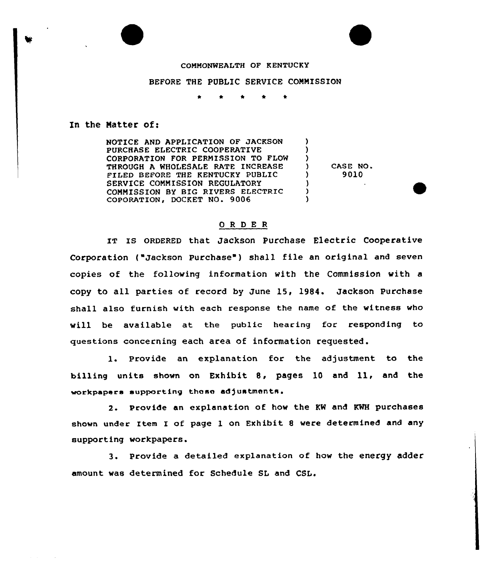## COMMONWEALTH OF KENTUCKY

## BEFORE THE PUBLIC SERVICE COMNISSION

## In the Natter of:

NOTICE AND APPLICATION OF JACKSON PURCHASE ELECTRIC COOPERATIVE CORPORATION FOR PERNISSION TO FLOW THROUGH A WHOLESALE RATE INCREASE FILED BEFORE THE KENTUCKY PUBLIC SERVICE CONNISSION REGULATORY CONNISSION BY BIG RIVERS ELECTRIC COPORATION, DOCKET NO. 9006

 $\begin{array}{ccc} 0 & \text{CASE NO.} \\ 1 & 9010 \end{array}$ ) 9010

) ) )<br>)

> )  $\lambda$  $\lambda$

## OR DE <sup>R</sup>

IT Is oRDERED that Jackson purchase Electric Cooperative Corporation ("Jackson Purchase") shall file an original and seven copies of the following information with the Commission with a copy to all parties of record by June 15, 19S4. Jackson purchase shall also furnish vith each response the name of the witness vho will be available at the public hearing for responding to questions concerning each area of information requested.

l. Provide an explanation for the adjustment to the billing units shown on Exhibit 8, pages 10 and 11, and the vorkpapara supporting those ad)uatments.

2. Provide an explanation of how the KW and KWH purchases shown under Item I of page l on Exhibit <sup>8</sup> vere determined and any supporting workpapers.

3. Provide a detailed explanation of how the energy adder amount was determined for Schedule SL and CSL.